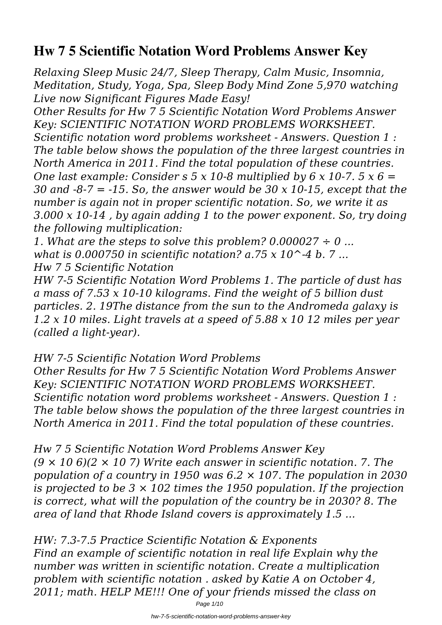# **Hw 7 5 Scientific Notation Word Problems Answer Key**

*Relaxing Sleep Music 24/7, Sleep Therapy, Calm Music, Insomnia, Meditation, Study, Yoga, Spa, Sleep Body Mind Zone 5,970 watching Live now Significant Figures Made Easy!*

*Other Results for Hw 7 5 Scientific Notation Word Problems Answer Key: SCIENTIFIC NOTATION WORD PROBLEMS WORKSHEET. Scientific notation word problems worksheet - Answers. Question 1 : The table below shows the population of the three largest countries in North America in 2011. Find the total population of these countries. One last example: Consider s 5 x 10-8 multiplied by 6 x 10-7. 5 x 6 = 30 and -8-7 = -15. So, the answer would be 30 x 10-15, except that the number is again not in proper scientific notation. So, we write it as 3.000 x 10-14 , by again adding 1 to the power exponent. So, try doing the following multiplication:*

*1. What are the steps to solve this problem? 0.000027 ÷ 0 ... what is 0.000750 in scientific notation? a.75 x 10^-4 b. 7 ... Hw 7 5 Scientific Notation*

*HW 7-5 Scientific Notation Word Problems 1. The particle of dust has a mass of 7.53 x 10-10 kilograms. Find the weight of 5 billion dust particles. 2. 19The distance from the sun to the Andromeda galaxy is 1.2 x 10 miles. Light travels at a speed of 5.88 x 10 12 miles per year (called a light-year).*

# *HW 7-5 Scientific Notation Word Problems*

*Other Results for Hw 7 5 Scientific Notation Word Problems Answer Key: SCIENTIFIC NOTATION WORD PROBLEMS WORKSHEET. Scientific notation word problems worksheet - Answers. Question 1 : The table below shows the population of the three largest countries in North America in 2011. Find the total population of these countries.*

# *Hw 7 5 Scientific Notation Word Problems Answer Key*

*(9 × 10 6)(2 × 10 7) Write each answer in scientific notation. 7. The population of a country in 1950 was 6.2 × 107. The population in 2030 is projected to be 3 × 102 times the 1950 population. If the projection is correct, what will the population of the country be in 2030? 8. The area of land that Rhode Island covers is approximately 1.5 ...*

*HW: 7.3-7.5 Practice Scientific Notation & Exponents Find an example of scientific notation in real life Explain why the number was written in scientific notation. Create a multiplication problem with scientific notation . asked by Katie A on October 4, 2011; math. HELP ME!!! One of your friends missed the class on*

Page 1/10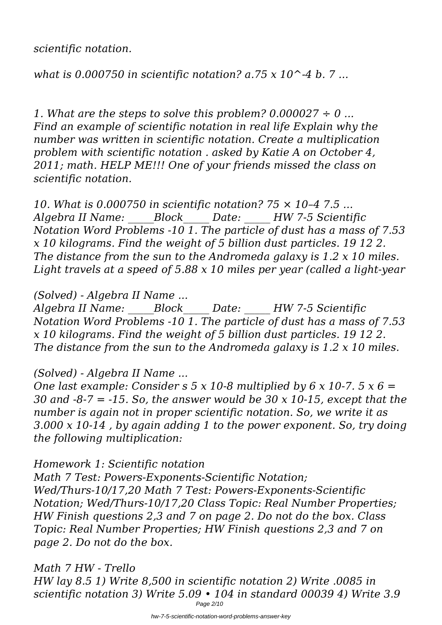*scientific notation.*

*what is 0.000750 in scientific notation? a.75 x 10^-4 b. 7 ...*

*1. What are the steps to solve this problem? 0.000027 ÷ 0 ... Find an example of scientific notation in real life Explain why the number was written in scientific notation. Create a multiplication problem with scientific notation . asked by Katie A on October 4, 2011; math. HELP ME!!! One of your friends missed the class on scientific notation.*

*10. What is 0.000750 in scientific notation? 75 × 10–4 7.5 ... Algebra II Name: \_\_\_\_\_Block\_\_\_\_\_ Date: \_\_\_\_\_ HW 7-5 Scientific Notation Word Problems -10 1. The particle of dust has a mass of 7.53 x 10 kilograms. Find the weight of 5 billion dust particles. 19 12 2. The distance from the sun to the Andromeda galaxy is 1.2 x 10 miles. Light travels at a speed of 5.88 x 10 miles per year (called a light-year*

### *(Solved) - Algebra II Name ...*

*Algebra II Name: \_\_\_\_\_Block\_\_\_\_\_ Date: \_\_\_\_\_ HW 7-5 Scientific Notation Word Problems -10 1. The particle of dust has a mass of 7.53 x 10 kilograms. Find the weight of 5 billion dust particles. 19 12 2. The distance from the sun to the Andromeda galaxy is 1.2 x 10 miles.*

# *(Solved) - Algebra II Name ...*

*One last example: Consider s 5 x 10-8 multiplied by 6 x 10-7. 5 x 6 = 30 and -8-7 = -15. So, the answer would be 30 x 10-15, except that the number is again not in proper scientific notation. So, we write it as 3.000 x 10-14 , by again adding 1 to the power exponent. So, try doing the following multiplication:*

# *Homework 1: Scientific notation*

*Math 7 Test: Powers-Exponents-Scientific Notation; Wed/Thurs-10/17,20 Math 7 Test: Powers-Exponents-Scientific Notation; Wed/Thurs-10/17,20 Class Topic: Real Number Properties; HW Finish questions 2,3 and 7 on page 2. Do not do the box. Class Topic: Real Number Properties; HW Finish questions 2,3 and 7 on page 2. Do not do the box.*

*Math 7 HW - Trello HW lay 8.5 1) Write 8,500 in scientific notation 2) Write .0085 in scientific notation 3) Write 5.09 • 104 in standard 00039 4) Write 3.9* Page 2/10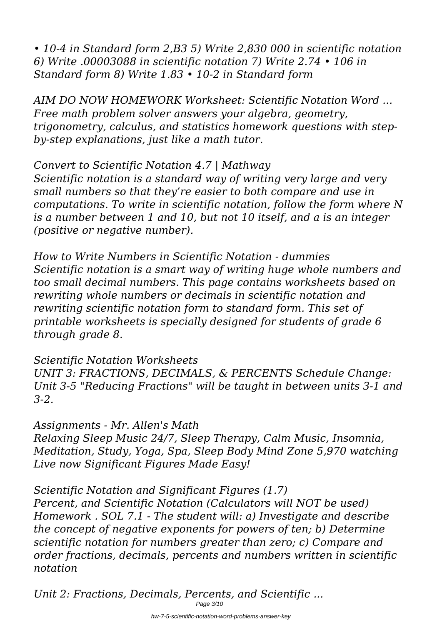*• 10-4 in Standard form 2,B3 5) Write 2,830 000 in scientific notation 6) Write .00003088 in scientific notation 7) Write 2.74 • 106 in Standard form 8) Write 1.83 • 10-2 in Standard form*

*AIM DO NOW HOMEWORK Worksheet: Scientific Notation Word ... Free math problem solver answers your algebra, geometry, trigonometry, calculus, and statistics homework questions with stepby-step explanations, just like a math tutor.*

*Convert to Scientific Notation 4.7 | Mathway Scientific notation is a standard way of writing very large and very small numbers so that they're easier to both compare and use in computations. To write in scientific notation, follow the form where N is a number between 1 and 10, but not 10 itself, and a is an integer (positive or negative number).*

*How to Write Numbers in Scientific Notation - dummies Scientific notation is a smart way of writing huge whole numbers and too small decimal numbers. This page contains worksheets based on rewriting whole numbers or decimals in scientific notation and rewriting scientific notation form to standard form. This set of printable worksheets is specially designed for students of grade 6 through grade 8.*

*Scientific Notation Worksheets*

*UNIT 3: FRACTIONS, DECIMALS, & PERCENTS Schedule Change: Unit 3-5 "Reducing Fractions" will be taught in between units 3-1 and 3-2.*

*Assignments - Mr. Allen's Math*

*Relaxing Sleep Music 24/7, Sleep Therapy, Calm Music, Insomnia, Meditation, Study, Yoga, Spa, Sleep Body Mind Zone 5,970 watching Live now Significant Figures Made Easy!*

*Scientific Notation and Significant Figures (1.7) Percent, and Scientific Notation (Calculators will NOT be used) Homework . SOL 7.1 - The student will: a) Investigate and describe the concept of negative exponents for powers of ten; b) Determine scientific notation for numbers greater than zero; c) Compare and order fractions, decimals, percents and numbers written in scientific notation*

*Unit 2: Fractions, Decimals, Percents, and Scientific ...* Page 3/10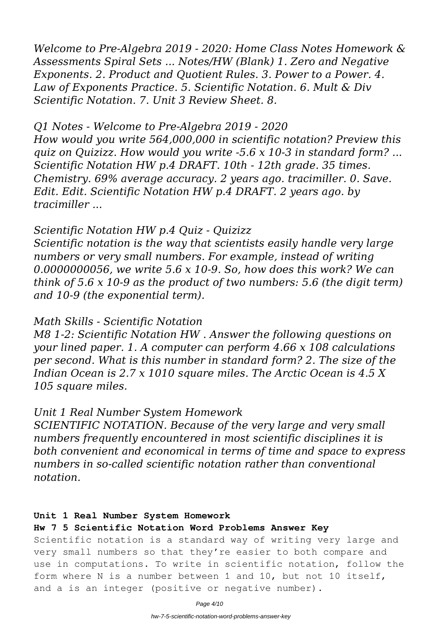*Welcome to Pre-Algebra 2019 - 2020: Home Class Notes Homework & Assessments Spiral Sets ... Notes/HW (Blank) 1. Zero and Negative Exponents. 2. Product and Quotient Rules. 3. Power to a Power. 4. Law of Exponents Practice. 5. Scientific Notation. 6. Mult & Div Scientific Notation. 7. Unit 3 Review Sheet. 8.*

### *Q1 Notes - Welcome to Pre-Algebra 2019 - 2020*

*How would you write 564,000,000 in scientific notation? Preview this quiz on Quizizz. How would you write -5.6 x 10-3 in standard form? ... Scientific Notation HW p.4 DRAFT. 10th - 12th grade. 35 times. Chemistry. 69% average accuracy. 2 years ago. tracimiller. 0. Save. Edit. Edit. Scientific Notation HW p.4 DRAFT. 2 years ago. by tracimiller ...*

### *Scientific Notation HW p.4 Quiz - Quizizz*

*Scientific notation is the way that scientists easily handle very large numbers or very small numbers. For example, instead of writing 0.0000000056, we write 5.6 x 10-9. So, how does this work? We can think of 5.6 x 10-9 as the product of two numbers: 5.6 (the digit term) and 10-9 (the exponential term).*

### *Math Skills - Scientific Notation*

*M8 1-2: Scientific Notation HW . Answer the following questions on your lined paper. 1. A computer can perform 4.66 x 108 calculations per second. What is this number in standard form? 2. The size of the Indian Ocean is 2.7 x 1010 square miles. The Arctic Ocean is 4.5 X 105 square miles.*

### *Unit 1 Real Number System Homework*

*SCIENTIFIC NOTATION. Because of the very large and very small numbers frequently encountered in most scientific disciplines it is both convenient and economical in terms of time and space to express numbers in so-called scientific notation rather than conventional notation.*

#### **Unit 1 Real Number System Homework**

#### **Hw 7 5 Scientific Notation Word Problems Answer Key**

Scientific notation is a standard way of writing very large and very small numbers so that they're easier to both compare and use in computations. To write in scientific notation, follow the form where N is a number between 1 and 10, but not 10 itself, and a is an integer (positive or negative number).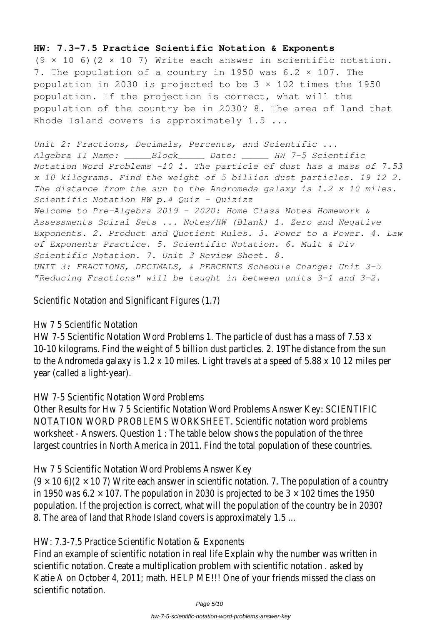#### **HW: 7.3-7.5 Practice Scientific Notation & Exponents**

 $(9 \times 10 \cdot 6)$  (2  $\times$  10 7) Write each answer in scientific notation. 7. The population of a country in 1950 was 6.2 × 107. The population in 2030 is projected to be 3 × 102 times the 1950 population. If the projection is correct, what will the population of the country be in 2030? 8. The area of land that Rhode Island covers is approximately 1.5 ...

*Unit 2: Fractions, Decimals, Percents, and Scientific ... Algebra II Name: \_\_\_\_\_Block\_\_\_\_\_ Date: \_\_\_\_\_ HW 7-5 Scientific Notation Word Problems -10 1. The particle of dust has a mass of 7.53 x 10 kilograms. Find the weight of 5 billion dust particles. 19 12 2. The distance from the sun to the Andromeda galaxy is 1.2 x 10 miles. Scientific Notation HW p.4 Quiz - Quizizz Welcome to Pre-Algebra 2019 - 2020: Home Class Notes Homework & Assessments Spiral Sets ... Notes/HW (Blank) 1. Zero and Negative Exponents. 2. Product and Quotient Rules. 3. Power to a Power. 4. Law of Exponents Practice. 5. Scientific Notation. 6. Mult & Div Scientific Notation. 7. Unit 3 Review Sheet. 8. UNIT 3: FRACTIONS, DECIMALS, & PERCENTS Schedule Change: Unit 3-5 "Reducing Fractions" will be taught in between units 3-1 and 3-2.*

Scientific Notation and Significant Figures (1.7)

#### Hw 7 5 Scientific Notation

HW 7-5 Scientific Notation Word Problems 1. The particle of dust has a mass of 7. 10-10 kilograms. Find the weight of 5 billion dust particles. 2. 19The distance from to the Andromeda galaxy is 1.2 x 10 miles. Light travels at a speed of 5.88 x 10 12 year (called a light-year).

#### HW 7-5 Scientific Notation Word Problems

Other Results for Hw 7 5 Scientific Notation Word Problems Answer Key: SCIENTIF NOTATION WORD PROBLEMS WORKSHEET. Scientific notation word problems worksheet - Answers. Question  $1$ : The table below shows the population of the th largest countries in North America in 2011. Find the total population of these cour

Hw 7 5 Scientific Notation Word Problems Answer Key

 $(9 \times 10 \cdot 6)(2 \times 10 \cdot 7)$  Write each answer in scientific notation. 7. The population of in 1950 was 6.2  $\times$  107. The population in 2030 is projected to be 3  $\times$  102 times to population. If the projection is correct, what will the population of the country be 8. The area of land that Rhode Island covers is approximately 1.5 ...

#### HW: 7.3-7.5 Practice Scientific Notation & Exponents

Find an example of scientific notation in real life Explain why the number was written scientific notation. Create a multiplication problem with scientific notation. asked Katie A on October 4, 2011; math. HELP ME!!! One of your friends missed the class scientific notation.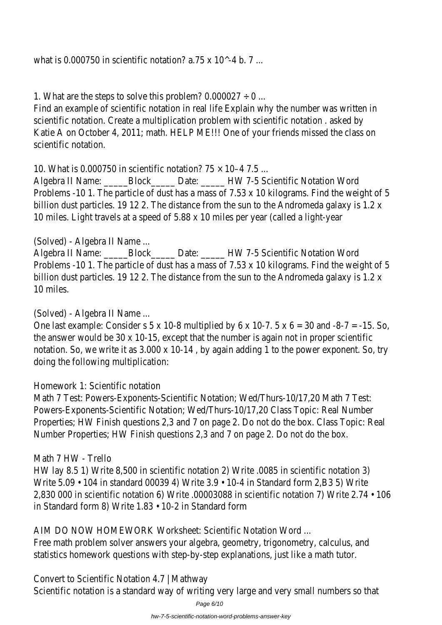what is 0.000750 in scientific notation? a.75 x 10^-4 b. 7 ...

1. What are the steps to solve this problem?  $0.000027 \div 0$  ...

Find an example of scientific notation in real life Explain why the number was written scientific notation. Create a multiplication problem with scientific notation . asked Katie A on October 4, 2011; math. HELP ME!!! One of your friends missed the class scientific notation.

10. What is 0.000750 in scientific notation? 75 × 10–4 7.5 ...

Algebra II Name: \_\_\_\_\_\_Block\_\_\_\_\_\_ Date: \_\_\_\_\_\_ HW 7-5 Scientific Notation Word Problems -10 1. The particle of dust has a mass of 7.53 x 10 kilograms. Find the w billion dust particles. 19 12 2. The distance from the sun to the Andromeda galaxy 10 miles. Light travels at a speed of 5.88 x 10 miles per year (called a light-year

(Solved) - Algebra II Name ...

Algebra II Name: \_\_\_\_\_Block\_\_\_\_\_ Date: \_\_\_\_\_ HW 7-5 Scientific Notation Word Problems -10 1. The particle of dust has a mass of  $7.53 \times 10$  kilograms. Find the w billion dust particles. 19 12 2. The distance from the sun to the Andromeda galaxy 10 miles.

(Solved) - Algebra II Name ...

One last example: Consider s 5 x 10-8 multiplied by 6 x 10-7. 5 x 6 = 30 and -8-7 the answer would be 30 x 10-15, except that the number is again not in proper so notation. So, we write it as  $3.000 \times 10-14$ , by again adding 1 to the power exponent. doing the following multiplication:

Homework 1: Scientific notation

Math 7 Test: Powers-Exponents-Scientific Notation; Wed/Thurs-10/17,20 Math 7 Powers-Exponents-Scientific Notation; Wed/Thurs-10/17,20 Class Topic: Real Numb Properties; HW Finish questions 2,3 and 7 on page 2. Do not do the box. Class Top Number Properties; HW Finish questions 2,3 and 7 on page 2. Do not do the box.

### Math 7 HW - Trello

HW lay 8.5 1) Write 8,500 in scientific notation 2) Write .0085 in scientific notati Write  $5.09 \cdot 104$  in standard 00039 4) Write  $3.9 \cdot 10 - 4$  in Standard form 2,B3 5) 2,830 000 in scientific notation 6) Write .00003088 in scientific notation 7) Writ in Standard form 8) Write 1.83 • 10-2 in Standard form

AIM DO NOW HOMEWORK Worksheet: Scientific Notation Word ...

Free math problem solver answers your algebra, geometry, trigonometry, calculus, statistics homework questions with step-by-step explanations, just like a math tut

Convert to Scientific Notation 4.7 | Mathway Scientific notation is a standard way of writing very large and very small numbers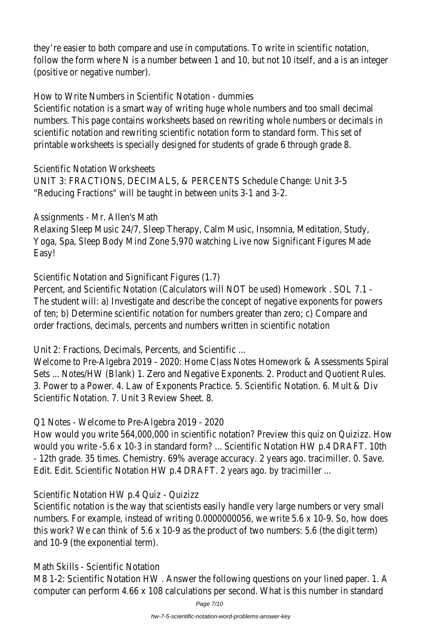they're easier to both compare and use in computations. To write in scientific notation, follow the form where N is a number between 1 and 10, but not 10 itself, and a is (positive or negative number).

How to Write Numbers in Scientific Notation - dummies

Scientific notation is a smart way of writing huge whole numbers and too small de numbers. This page contains worksheets based on rewriting whole numbers or dec scientific notation and rewriting scientific notation form to standard form. This set printable worksheets is specially designed for students of grade 6 through grade 8.

Scientific Notation Worksheets

UNIT 3: FRACTIONS, DECIMALS, & PERCENTS Schedule Change: Unit 3-5 "Reducing Fractions" will be taught in between units 3-1 and 3-2.

Assignments - Mr. Allen's Math

Relaxing Sleep Music 24/7, Sleep Therapy, Calm Music, Insomnia, Meditation, Study, Yoga, Spa, Sleep Body Mind Zone 5,970 watching Live now Significant Figures Made Easy!

Scientific Notation and Significant Figures (1.7)

Percent, and Scientific Notation (Calculators will NOT be used) Homework . SOL 7.1 The student will: a) Investigate and describe the concept of negative exponents for of ten; b) Determine scientific notation for numbers greater than zero; c) Compare order fractions, decimals, percents and numbers written in scientific notation

Unit 2: Fractions, Decimals, Percents, and Scientific ...

Welcome to Pre-Algebra 2019 - 2020: Home Class Notes Homework & Assessment Sets ... Notes/HW (Blank) 1. Zero and Negative Exponents. 2. Product and Quotient 3. Power to a Power. 4. Law of Exponents Practice. 5. Scientific Notation. 6. Mult Scientific Notation. 7. Unit 3 Review Sheet. 8.

Q1 Notes - Welcome to Pre-Algebra 2019 - 2020

How would you write 564,000,000 in scientific notation? Preview this quiz on Qui would you write -5.6 x 10-3 in standard form? ... Scientific Notation HW p.4 DRAFT - 12th grade. 35 times. Chemistry. 69% average accuracy. 2 years ago. tracimiller. Edit. Edit. Scientific Notation HW p.4 DRAFT. 2 years ago. by tracimiller ...

Scientific Notation HW p.4 Quiz - Quizizz

Scientific notation is the way that scientists easily handle very large numbers or v numbers. For example, instead of writing 0.0000000056, we write 5.6 x 10-9. So, this work? We can think of  $5.6 \times 10-9$  as the product of two numbers:  $5.6$  (the digital and 10-9 (the exponential term).

Math Skills - Scientific Notation

M8 1-2: Scientific Notation HW. Answer the following questions on your lined pap computer can perform 4.66 x 108 calculations per second. What is this number in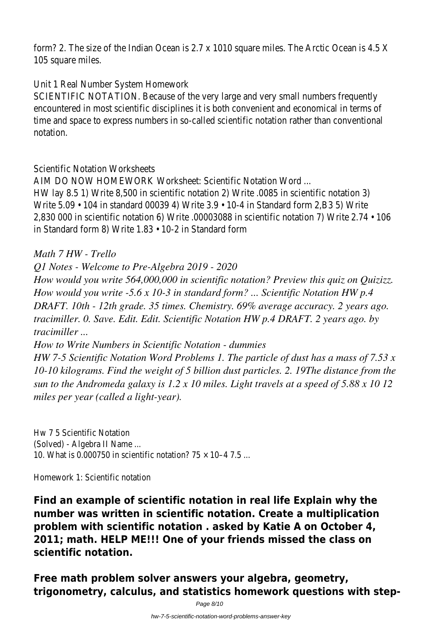form? 2. The size of the Indian Ocean is 2.7 x 1010 square miles. The Arctic Ocean 105 square miles.

Unit 1 Real Number System Homework

SCIENTIFIC NOTATION. Because of the very large and very small numbers frequently encountered in most scientific disciplines it is both convenient and economical in t time and space to express numbers in so-called scientific notation rather than con notation.

Scientific Notation Worksheets

AIM DO NOW HOMEWORK Worksheet: Scientific Notation Word ...

HW lay 8.5 1) Write 8,500 in scientific notation 2) Write .0085 in scientific notati Write  $5.09 \cdot 104$  in standard 00039 4) Write  $3.9 \cdot 10 - 4$  in Standard form 2,B3 5) 2,830 000 in scientific notation 6) Write .00003088 in scientific notation 7) Writ in Standard form 8) Write 1.83 • 10-2 in Standard form

*Math 7 HW - Trello*

*Q1 Notes - Welcome to Pre-Algebra 2019 - 2020*

*How would you write 564,000,000 in scientific notation? Preview this quiz on Quizizz. How would you write -5.6 x 10-3 in standard form? ... Scientific Notation HW p.4 DRAFT. 10th - 12th grade. 35 times. Chemistry. 69% average accuracy. 2 years ago. tracimiller. 0. Save. Edit. Edit. Scientific Notation HW p.4 DRAFT. 2 years ago. by tracimiller ...*

*How to Write Numbers in Scientific Notation - dummies*

*HW 7-5 Scientific Notation Word Problems 1. The particle of dust has a mass of 7.53 x 10-10 kilograms. Find the weight of 5 billion dust particles. 2. 19The distance from the sun to the Andromeda galaxy is 1.2 x 10 miles. Light travels at a speed of 5.88 x 10 12 miles per year (called a light-year).*

Hw 7 5 Scientific Notation (Solved) - Algebra II Name ... 10. What is 0.000750 in scientific notation?  $75 \times 10-4$  7.5 ...

Homework 1: Scientific notation

**Find an example of scientific notation in real life Explain why the number was written in scientific notation. Create a multiplication problem with scientific notation . asked by Katie A on October 4, 2011; math. HELP ME!!! One of your friends missed the class on scientific notation.**

**Free math problem solver answers your algebra, geometry, trigonometry, calculus, and statistics homework questions with step-**

Page 8/10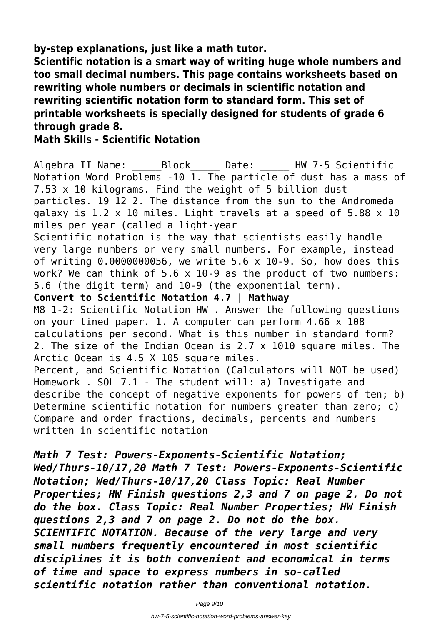**by-step explanations, just like a math tutor.**

**Scientific notation is a smart way of writing huge whole numbers and too small decimal numbers. This page contains worksheets based on rewriting whole numbers or decimals in scientific notation and rewriting scientific notation form to standard form. This set of printable worksheets is specially designed for students of grade 6 through grade 8.**

### **Math Skills - Scientific Notation**

Algebra II Name: \_\_\_\_\_ Block \_\_\_\_\_ Date: \_\_\_\_\_ HW 7-5 Scientific Notation Word Problems -10 1. The particle of dust has a mass of 7.53 x 10 kilograms. Find the weight of 5 billion dust particles. 19 12 2. The distance from the sun to the Andromeda galaxy is 1.2 x 10 miles. Light travels at a speed of 5.88 x 10 miles per year (called a light-year Scientific notation is the way that scientists easily handle very large numbers or very small numbers. For example, instead of writing 0.0000000056, we write 5.6 x 10-9. So, how does this work? We can think of  $5.6 \times 10-9$  as the product of two numbers: 5.6 (the digit term) and 10-9 (the exponential term). **Convert to Scientific Notation 4.7 | Mathway** M8 1-2: Scientific Notation HW . Answer the following questions on your lined paper. 1. A computer can perform 4.66 x 108 calculations per second. What is this number in standard form? 2. The size of the Indian Ocean is 2.7 x 1010 square miles. The Arctic Ocean is 4.5 X 105 square miles. Percent, and Scientific Notation (Calculators will NOT be used) Homework . SOL 7.1 - The student will: a) Investigate and describe the concept of negative exponents for powers of ten; b) Determine scientific notation for numbers greater than zero; c) Compare and order fractions, decimals, percents and numbers written in scientific notation

*Math 7 Test: Powers-Exponents-Scientific Notation; Wed/Thurs-10/17,20 Math 7 Test: Powers-Exponents-Scientific Notation; Wed/Thurs-10/17,20 Class Topic: Real Number Properties; HW Finish questions 2,3 and 7 on page 2. Do not do the box. Class Topic: Real Number Properties; HW Finish questions 2,3 and 7 on page 2. Do not do the box. SCIENTIFIC NOTATION. Because of the very large and very small numbers frequently encountered in most scientific disciplines it is both convenient and economical in terms of time and space to express numbers in so-called scientific notation rather than conventional notation.*